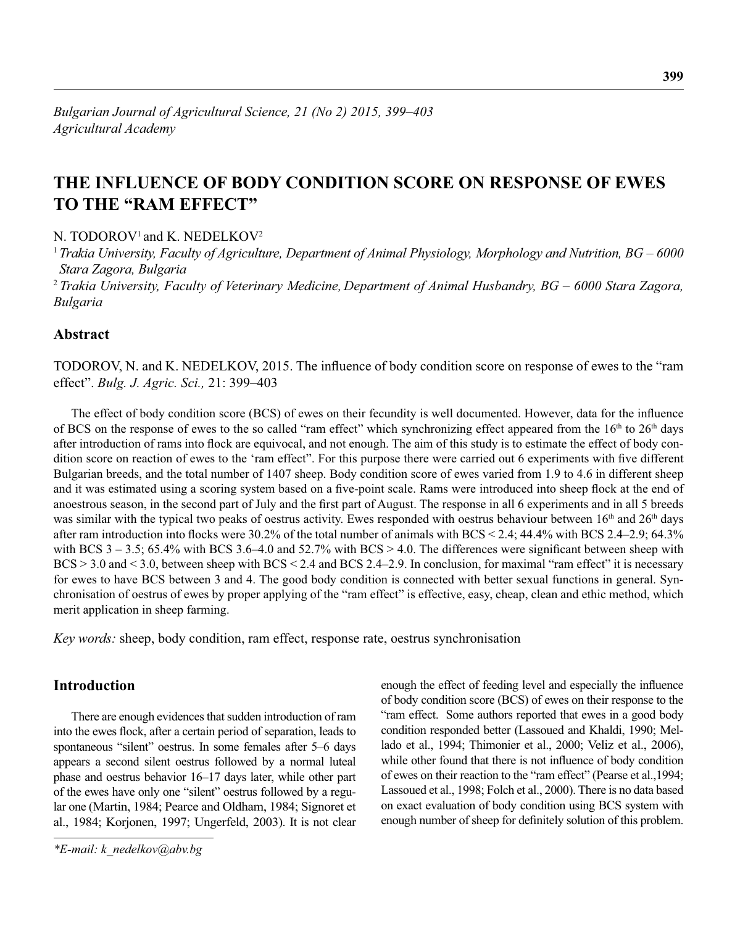# **THE INFLUENCE OF BODY CONDITION SCORE ON RESPONSE OF EWES TO THE "RAM EFFECT"**

N. TODOROV<sup>1</sup> and K. NEDELKOV<sup>2</sup>

<sup>1</sup>*Trakia University, Faculty of Agriculture, Department of Animal Physiology, Morphology and Nutrition, BG – 6000 Stara Zagora, Bulgaria*

<sup>2</sup>*Trakia University, Faculty of Veterinary Medicine, Department of Animal Husbandry, BG – 6000 Stara Zagora, Bulgaria*

## **Abstract**

TODOROV, N. and K. NEDELKOV, 2015. The influence of body condition score on response of ewes to the "ram" effect". *Bulg. J. Agric. Sci.,* 21: 399–403

The effect of body condition score (BCS) of ewes on their fecundity is well documented. However, data for the influence of BCS on the response of ewes to the so called "ram effect" which synchronizing effect appeared from the  $16<sup>th</sup>$  to  $26<sup>th</sup>$  days after introduction of rams into flock are equivocal, and not enough. The aim of this study is to estimate the effect of body condition score on reaction of ewes to the 'ram effect". For this purpose there were carried out 6 experiments with five different Bulgarian breeds, and the total number of 1407 sheep. Body condition score of ewes varied from 1.9 to 4.6 in different sheep and it was estimated using a scoring system based on a five-point scale. Rams were introduced into sheep flock at the end of anoestrous season, in the second part of July and the first part of August. The response in all 6 experiments and in all 5 breeds was similar with the typical two peaks of oestrus activity. Ewes responded with oestrus behaviour between 16<sup>th</sup> and 26<sup>th</sup> days after ram introduction into flocks were 30.2% of the total number of animals with BCS  $\leq 2.4$ ; 44.4% with BCS 2.4–2.9; 64.3% with BCS  $3 - 3.5$ ; 65.4% with BCS  $3.6-4.0$  and  $52.7\%$  with BCS  $> 4.0$ . The differences were significant between sheep with BCS > 3.0 and < 3.0, between sheep with BCS < 2.4 and BCS 2.4–2.9. In conclusion, for maximal "ram effect" it is necessary for ewes to have BCS between 3 and 4. The good body condition is connected with better sexual functions in general. Synchronisation of oestrus of ewes by proper applying of the "ram effect" is effective, easy, cheap, clean and ethic method, which merit application in sheep farming.

*Key words:* sheep, body condition, ram effect, response rate, oestrus synchronisation

## **Introduction**

There are enough evidences that sudden introduction of ram into the ewes flock, after a certain period of separation, leads to spontaneous "silent" oestrus. In some females after 5–6 days appears a second silent oestrus followed by a normal luteal phase and oestrus behavior 16–17 days later, while other part of the ewes have only one "silent" oestrus followed by a regular one (Martin, 1984; Pearce and Oldham, 1984; Signoret et al., 1984; Korjonen, 1997; Ungerfeld, 2003). It is not clear

enough the effect of feeding level and especially the influence of body condition score (BCS) of ewes on their response to the "ram effect. Some authors reported that ewes in a good body condition responded better (Lassoued and Khaldi, 1990; Mellado et al., 1994; Thimonier et al., 2000; Veliz et al., 2006), while other found that there is not influence of body condition of ewes on their reaction to the "ram effect" (Pearse et al.,1994; Lassoued et al., 1998; Folch et al., 2000). There is no data based on exact evaluation of body condition using BCS system with enough number of sheep for definitely solution of this problem.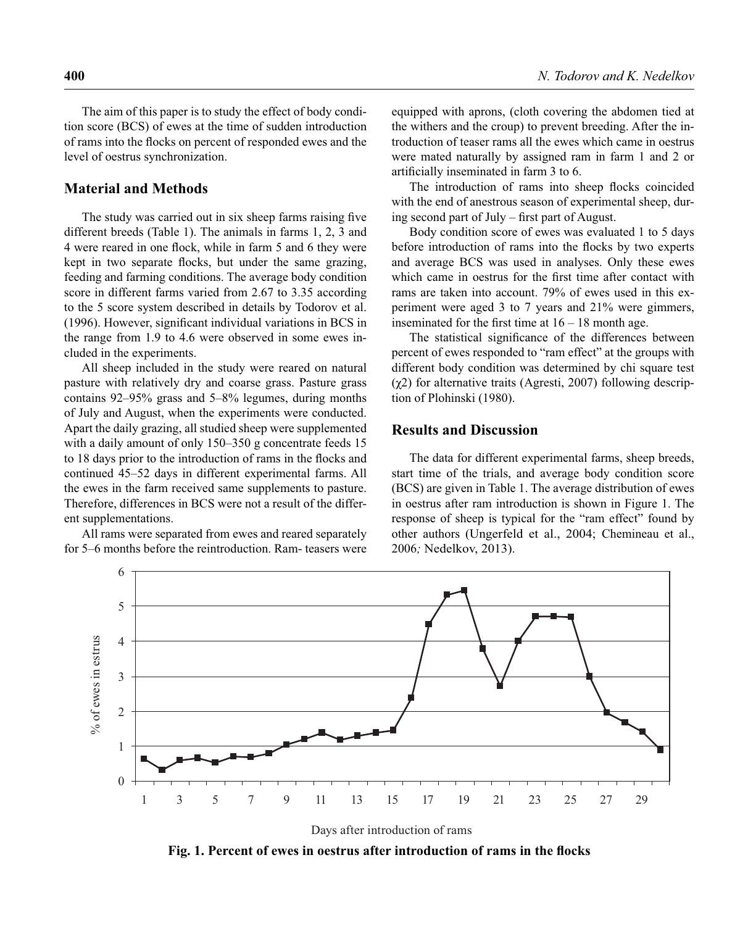The aim of this paper is to study the effect of body condition score (BCS) of ewes at the time of sudden introduction of rams into the flocks on percent of responded ewes and the level of oestrus synchronization.

### **Material and Methods**

The study was carried out in six sheep farms raising five different breeds (Table 1). The animals in farms 1, 2, 3 and 4 were reared in one flock, while in farm 5 and 6 they were kept in two separate flocks, but under the same grazing, feeding and farming conditions. The average body condition score in different farms varied from 2.67 to 3.35 according to the 5 score system described in details by Todorov et al.  $(1996)$ . However, significant individual variations in BCS in the range from 1.9 to 4.6 were observed in some ewes included in the experiments.

All sheep included in the study were reared on natural pasture with relatively dry and coarse grass. Pasture grass contains 92–95% grass and 5–8% legumes, during months of July and August, when the experiments were conducted. Apart the daily grazing, all studied sheep were supplemented with a daily amount of only 150–350 g concentrate feeds 15 to 18 days prior to the introduction of rams in the flocks and continued 45–52 days in different experimental farms. All the ewes in the farm received same supplements to pasture. Therefore, differences in BCS were not a result of the different supplementations.

All rams were separated from ewes and reared separately for 5–6 months before the reintroduction. Ram- teasers were equipped with aprons, (cloth covering the abdomen tied at the withers and the croup) to prevent breeding. After the introduction of teaser rams all the ewes which came in oestrus were mated naturally by assigned ram in farm 1 and 2 or artificially inseminated in farm 3 to 6.

The introduction of rams into sheep flocks coincided with the end of anestrous season of experimental sheep, during second part of July – first part of August.

Body condition score of ewes was evaluated 1 to 5 days before introduction of rams into the flocks by two experts and average BCS was used in analyses. Only these ewes which came in oestrus for the first time after contact with rams are taken into account. 79% of ewes used in this experiment were aged 3 to 7 years and 21% were gimmers, inseminated for the first time at  $16 - 18$  month age.

The statistical significance of the differences between percent of ewes responded to "ram effect" at the groups with different body condition was determined by chi square test (χ2) for alternative traits (Agresti, 2007) following description of Plohinski (1980).

#### **Results and Discussion**

The data for different experimental farms, sheep breeds, start time of the trials, and average body condition score (BCS) are given in Table 1. The average distribution of ewes in oestrus after ram introduction is shown in Figure 1. The response of sheep is typical for the "ram effect" found by other authors (Ungerfeld et al., 2004; Chemineau et al., 2006*;* Nedelkov, 2013).



Days after introduction of rams

**Fig. 1. Percent of ewes in oestrus after introduction of rams in the flocks**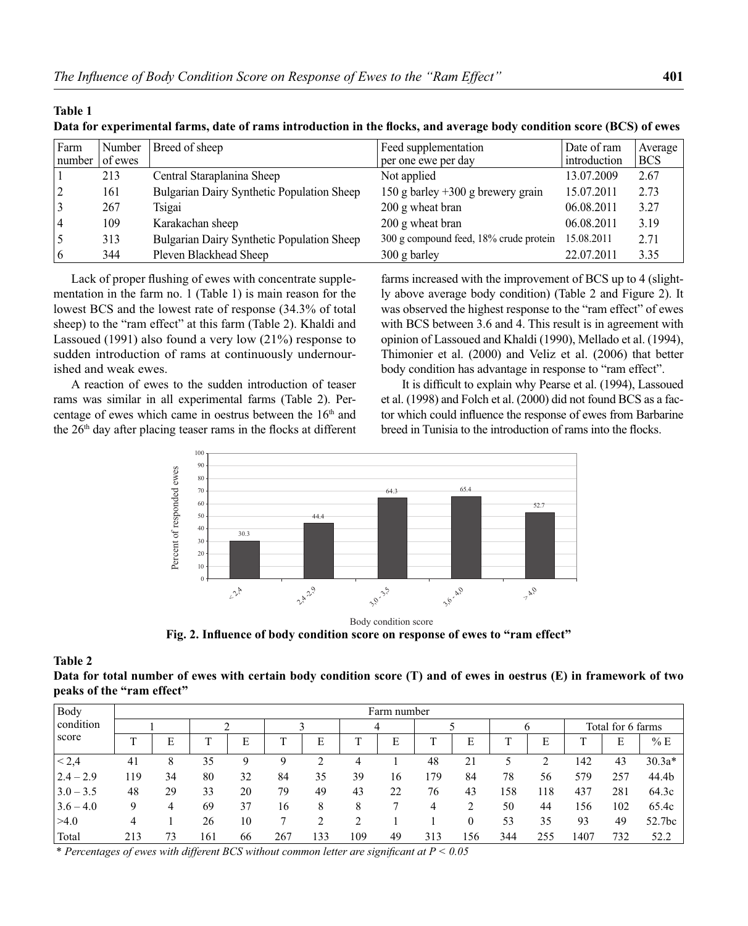| Farm<br>number | Number<br>of ewes | Breed of sheep                             | Feed supplementation<br>per one ewe per day | Date of ram<br>introduction | Average<br><b>BCS</b> |
|----------------|-------------------|--------------------------------------------|---------------------------------------------|-----------------------------|-----------------------|
|                | 213               | Central Staraplanina Sheep                 | Not applied                                 | 13.07.2009                  | 2.67                  |
|                | 161               | Bulgarian Dairy Synthetic Population Sheep | 150 g barley $+300$ g brewery grain         | 15.07.2011                  | 2.73                  |
|                | 267               | Tsigai                                     | 200 g wheat bran                            | 06.08.2011                  | 3.27                  |
|                | 109               | Karakachan sheep                           | 200 g wheat bran                            | 06.08.2011                  | 3.19                  |
|                | 313               | Bulgarian Dairy Synthetic Population Sheep | 300 g compound feed, 18% crude protein      | 15.08.2011                  | 2.71                  |
|                | 344               | Pleven Blackhead Sheep                     | $300$ g barley                              | 22.07.2011                  | 3.35                  |

**Data for experimental farms, date of rams introduction in the flocks, and average body condition score (BCS) of ewes** 

Lack of proper flushing of ewes with concentrate supplementation in the farm no. 1 (Table 1) is main reason for the lowest BCS and the lowest rate of response (34.3% of total sheep) to the "ram effect" at this farm (Table 2). Khaldi and Lassoued (1991) also found a very low (21%) response to sudden introduction of rams at continuously undernourished and weak ewes.

A reaction of ewes to the sudden introduction of teaser rams was similar in all experimental farms (Table 2). Percentage of ewes which came in oestrus between the  $16<sup>th</sup>$  and the 26<sup>th</sup> day after placing teaser rams in the flocks at different farms increased with the improvement of BCS up to 4 (slightly above average body condition) (Table 2 and Figure 2). It was observed the highest response to the "ram effect" of ewes with BCS between 3.6 and 4. This result is in agreement with opinion of Lassoued and Khaldi (1990), Mellado et al. (1994), Thimonier et al. (2000) and Veliz et al. (2006) that better body condition has advantage in response to "ram effect".

It is difficult to explain why Pearse et al. (1994), Lassoued et al. (1998) and Folch et al. (2000) did not found BCS as a factor which could influence the response of ewes from Barbarine breed in Tunisia to the introduction of rams into the flocks.



Fig. 2. Influence of body condition score on response of ewes to "ram effect"

#### **Table 2**

**Table 1**

| Data for total number of ewes with certain body condition score (T) and of ewes in oestrus (E) in framework of two |  |  |  |
|--------------------------------------------------------------------------------------------------------------------|--|--|--|
| peaks of the "ram effect"                                                                                          |  |  |  |

| Body               | Farm number |    |     |    |     |     |     |    |     |     |     |     |                   |     |          |
|--------------------|-------------|----|-----|----|-----|-----|-----|----|-----|-----|-----|-----|-------------------|-----|----------|
| condition<br>score |             |    |     |    |     |     | 4   |    |     |     | O   |     | Total for 6 farms |     |          |
|                    |             | E  | ᠇   |    |     | E   |     | E  |     | E   |     | E   |                   | E   | % E      |
| < 2,4              | 41          | 8  | 35  |    |     |     | 4   |    | 48  | 21  |     |     | 142               | 43  | $30.3a*$ |
| $2.4 - 2.9$        | 119         | 34 | 80  | 32 | 84  | 35  | 39  | 16 | 179 | 84  | 78  | 56  | 579               | 257 | 44.4b    |
| $3.0 - 3.5$        | 48          | 29 | 33  | 20 | 79  | 49  | 43  | 22 | 76  | 43  | 158 | 118 | 437               | 281 | 64.3c    |
| $3.6 - 4.0$        | Q           | 4  | 69  | 37 | 16  | 8   | 8   |    |     |     | 50  | 44  | 156               | 102 | 65.4c    |
| >4.0               | 4           |    | 26  | 10 |     |     | ∍   |    |     |     | 53  | 35  | 93                | 49  | 52.7bc   |
| Total              | 213         | 73 | 161 | 66 | 267 | 133 | 109 | 49 | 313 | 156 | 344 | 255 | 1407              | 732 | 52.2     |

\* Percentages of ewes with different BCS without common letter are significant at P < 0.05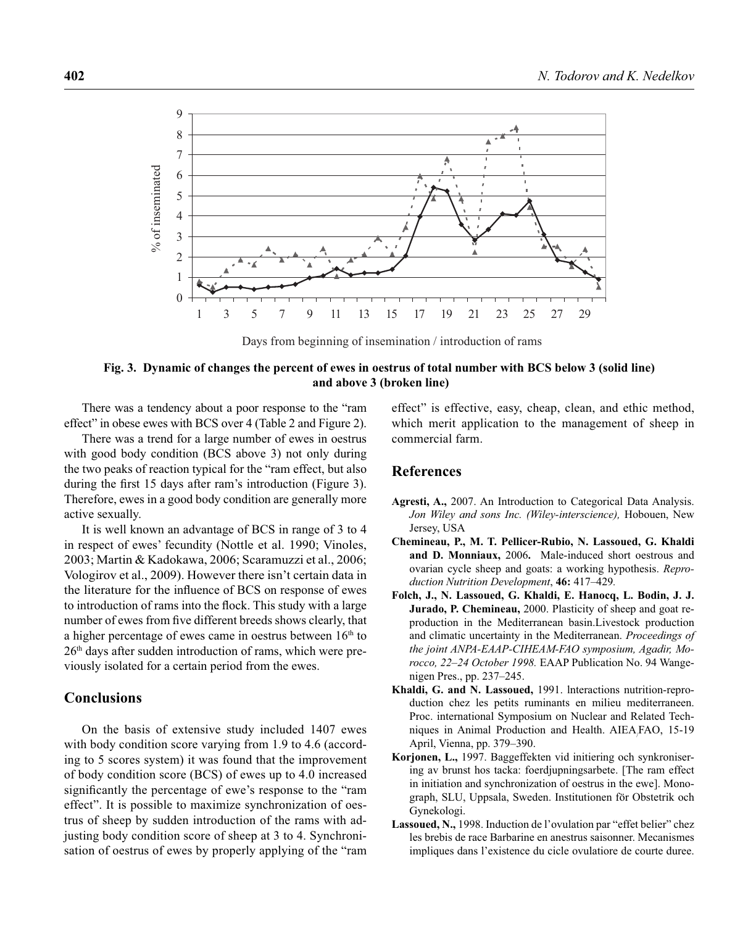

Days from beginning of insemination / introduction of rams

#### **Fig. 3. Dynamic of changes the percent of ewes in oestrus of total number with BCS below 3 (solid line) and above 3 (broken line)**

There was a tendency about a poor response to the "ram effect" in obese ewes with BCS over 4 (Table 2 and Figure 2).

There was a trend for a large number of ewes in oestrus with good body condition (BCS above 3) not only during the two peaks of reaction typical for the "ram effect, but also during the first 15 days after ram's introduction (Figure 3). Therefore, ewes in a good body condition are generally more active sexually.

It is well known an advantage of BCS in range of 3 to 4 in respect of ewes' fecundity (Nottle et al. 1990; Vinoles, 2003; Martin & Kadokawa, 2006; Scaramuzzi et al., 2006; Vologirov et al., 2009). However there isn't certain data in the literature for the influence of BCS on response of ewes to introduction of rams into the flock. This study with a large number of ewes from five different breeds shows clearly, that a higher percentage of ewes came in oestrus between  $16<sup>th</sup>$  to 26th days after sudden introduction of rams, which were previously isolated for a certain period from the ewes.

## **Conclusions**

On the basis of extensive study included 1407 ewes with body condition score varying from 1.9 to 4.6 (according to 5 scores system) it was found that the improvement of body condition score (BCS) of ewes up to 4.0 increased significantly the percentage of ewe's response to the "ram" effect". It is possible to maximize synchronization of oestrus of sheep by sudden introduction of the rams with adjusting body condition score of sheep at 3 to 4. Synchronisation of oestrus of ewes by properly applying of the "ram effect" is effective, easy, cheap, clean, and ethic method, which merit application to the management of sheep in commercial farm.

### **References**

- **Agresti, A.,** 2007. An Introduction to Categorical Data Analysis. *Jon Wiley and sons Inc. (Wiley-interscience),* Hobouen, New Jersey, USA
- **Chemineau, P., M. T. Pellicer-Rubio, N. Lassoued, G. Khaldi and D. Monniaux,** 2006**.** Male-induced short oestrous and ovarian cycle sheep and goats: a working hypothesis. *Reproduction Nutrition Development*, **46:** 417–429*.*
- **Folch, J., N. Lassoued, G. Khaldi, E. Hanocq, L. Bodin, J. J. Jurado, P. Chemineau,** 2000. Plasticity of sheep and goat reproduction in the Mediterranean basin.Livestock production and climatic uncertainty in the Mediterranean. *Proceedings of the joint ANPA-EAAP-CIHEAM-FAO symposium, Agadir, Morocco, 22*–*24 October 1998.* EAAP Publication No. 94 Wangenigen Pres., pp. 237–245.
- **Khaldi, G. and N. Lassoued,** 1991. lnteractions nutrition-reproduction chez les petits ruminants en milieu mediterraneen. Proc. international Symposium on Nuclear and Related Techniques in Animal Production and Health. AIEA/ FAO, 15-19 April, Vienna, pp. 379–390.
- **Korjonen, L.,** 1997. Baggeffekten vid initiering och synkronisering av brunst hos tacka: foerdjupningsarbete. [The ram effect in initiation and synchronization of oestrus in the ewe]. Monograph, SLU, Uppsala, Sweden. Institutionen för Obstetrik och Gynekologi.
- Lassoued, N., 1998. Induction de l'ovulation par "effet belier" chez les brebis de race Barbarine en anestrus saisonner. Mecanismes impliques dans l'existence du cicle ovulatiore de courte duree.